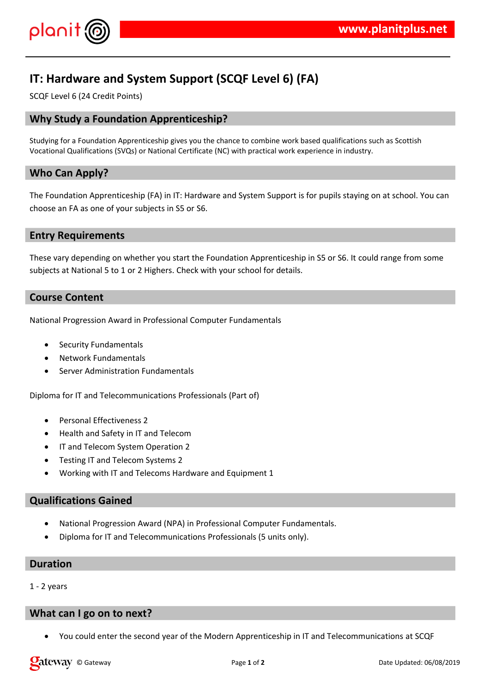

# **IT: Hardware and System Support (SCQF Level 6) (FA)**

SCQF Level 6 (24 Credit Points)

# **Why Study a Foundation Apprenticeship?**

Studying for a Foundation Apprenticeship gives you the chance to combine work based qualifications such as Scottish Vocational Qualifications (SVQs) or National Certificate (NC) with practical work experience in industry.

# **Who Can Apply?**

The Foundation Apprenticeship (FA) in IT: Hardware and System Support is for pupils staying on at school. You can choose an FA as one of your subjects in S5 or S6.

### **Entry Requirements**

These vary depending on whether you start the Foundation Apprenticeship in S5 or S6. It could range from some subjects at National 5 to 1 or 2 Highers. Check with your school for details.

### **Course Content**

National Progression Award in Professional Computer Fundamentals

- Security Fundamentals
- Network Fundamentals
- Server Administration Fundamentals

Diploma for IT and Telecommunications Professionals (Part of)

- Personal Effectiveness 2
- Health and Safety in IT and Telecom
- **IT and Telecom System Operation 2**
- Testing IT and Telecom Systems 2
- Working with IT and Telecoms Hardware and Equipment 1

### **Qualifications Gained**

- National Progression Award (NPA) in Professional Computer Fundamentals.
- Diploma for IT and Telecommunications Professionals (5 units only).

#### **Duration**

1 - 2 years

### **What can I go on to next?**

You could enter the second year of the Modern Apprenticeship in IT and Telecommunications at SCQF